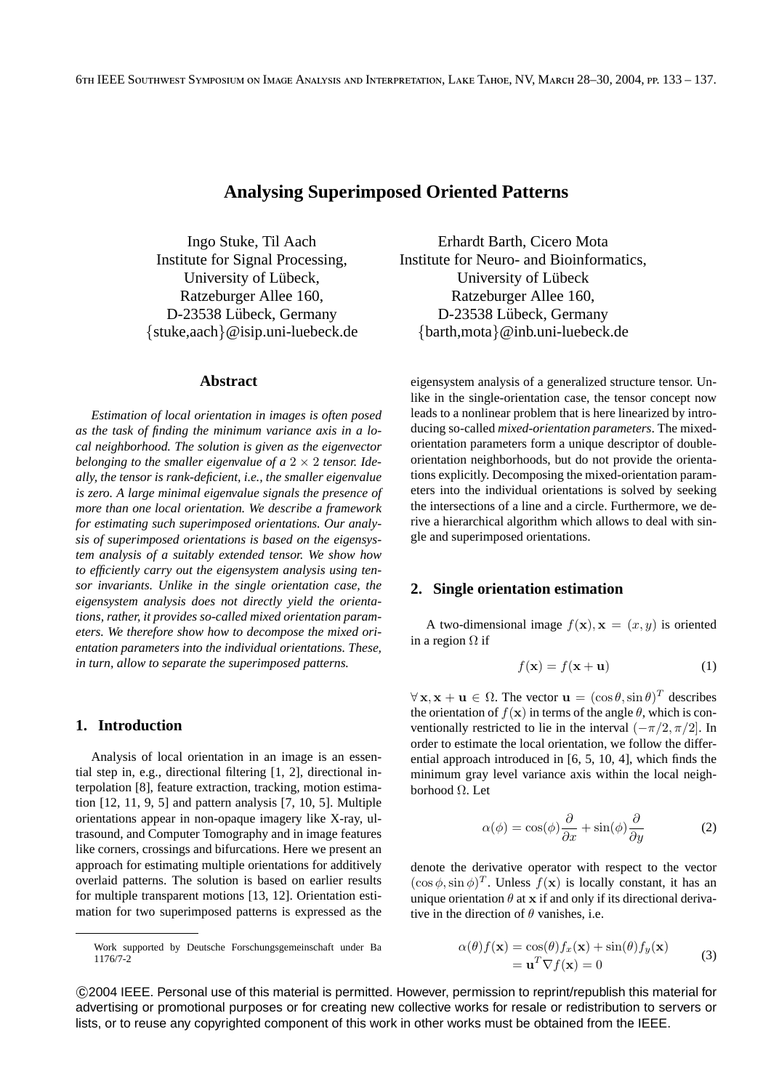# **Analysing Superimposed Oriented Patterns**

Ingo Stuke, Til Aach Institute for Signal Processing, University of Lübeck, Ratzeburger Allee 160, D-23538 Lübeck, Germany {stuke,aach}@isip.uni-luebeck.de

#### **Abstract**

*Estimation of local orientation in images is often posed as the task of finding the minimum variance axis in a local neighborhood. The solution is given as the eigenvector belonging to the smaller eigenvalue of a*  $2 \times 2$  *tensor. Ideally, the tensor is rank-deficient, i.e., the smaller eigenvalue is zero. A large minimal eigenvalue signals the presence of more than one local orientation. We describe a framework for estimating such superimposed orientations. Our analysis of superimposed orientations is based on the eigensystem analysis of a suitably extended tensor. We show how to efficiently carry out the eigensystem analysis using tensor invariants. Unlike in the single orientation case, the eigensystem analysis does not directly yield the orientations, rather, it provides so-called mixed orientation parameters. We therefore show how to decompose the mixed orientation parameters into the individual orientations. These, in turn, allow to separate the superimposed patterns.*

## **1. Introduction**

Analysis of local orientation in an image is an essential step in, e.g., directional filtering [1, 2], directional interpolation [8], feature extraction, tracking, motion estimation [12, 11, 9, 5] and pattern analysis [7, 10, 5]. Multiple orientations appear in non-opaque imagery like X-ray, ultrasound, and Computer Tomography and in image features like corners, crossings and bifurcations. Here we present an approach for estimating multiple orientations for additively overlaid patterns. The solution is based on earlier results for multiple transparent motions [13, 12]. Orientation estimation for two superimposed patterns is expressed as the

Erhardt Barth, Cicero Mota Institute for Neuro- and Bioinformatics, University of Lübeck Ratzeburger Allee 160, D-23538 Lübeck, Germany {barth,mota}@inb.uni-luebeck.de

eigensystem analysis of a generalized structure tensor. Unlike in the single-orientation case, the tensor concept now leads to a nonlinear problem that is here linearized by introducing so-called *mixed-orientation parameters*. The mixedorientation parameters form a unique descriptor of doubleorientation neighborhoods, but do not provide the orientations explicitly. Decomposing the mixed-orientation parameters into the individual orientations is solved by seeking the intersections of a line and a circle. Furthermore, we derive a hierarchical algorithm which allows to deal with single and superimposed orientations.

## **2. Single orientation estimation**

A two-dimensional image  $f(\mathbf{x}), \mathbf{x} = (x, y)$  is oriented in a region  $\Omega$  if

$$
f(\mathbf{x}) = f(\mathbf{x} + \mathbf{u}) \tag{1}
$$

 $\forall x, x + u \in \Omega$ . The vector  $u = (\cos \theta, \sin \theta)^T$  describes the orientation of  $f(\mathbf{x})$  in terms of the angle  $\theta$ , which is conventionally restricted to lie in the interval  $(-\pi/2, \pi/2]$ . In order to estimate the local orientation, we follow the differential approach introduced in [6, 5, 10, 4], which finds the minimum gray level variance axis within the local neighborhood Ω. Let

$$
\alpha(\phi) = \cos(\phi)\frac{\partial}{\partial x} + \sin(\phi)\frac{\partial}{\partial y}
$$
 (2)

denote the derivative operator with respect to the vector  $(\cos \phi, \sin \phi)^T$ . Unless  $f(\mathbf{x})$  is locally constant, it has an unique orientation  $\theta$  at x if and only if its directional derivative in the direction of  $\theta$  vanishes, i.e.

$$
\alpha(\theta)f(\mathbf{x}) = \cos(\theta)f_x(\mathbf{x}) + \sin(\theta)f_y(\mathbf{x}) \n= \mathbf{u}^T \nabla f(\mathbf{x}) = 0
$$
\n(3)

 c 2004 IEEE. Personal use of this material is permitted. However, permission to reprint/republish this material for advertising or promotional purposes or for creating new collective works for resale or redistribution to servers or lists, or to reuse any copyrighted component of this work in other works must be obtained from the IEEE.

Work supported by Deutsche Forschungsgemeinschaft under Ba 1176/7-2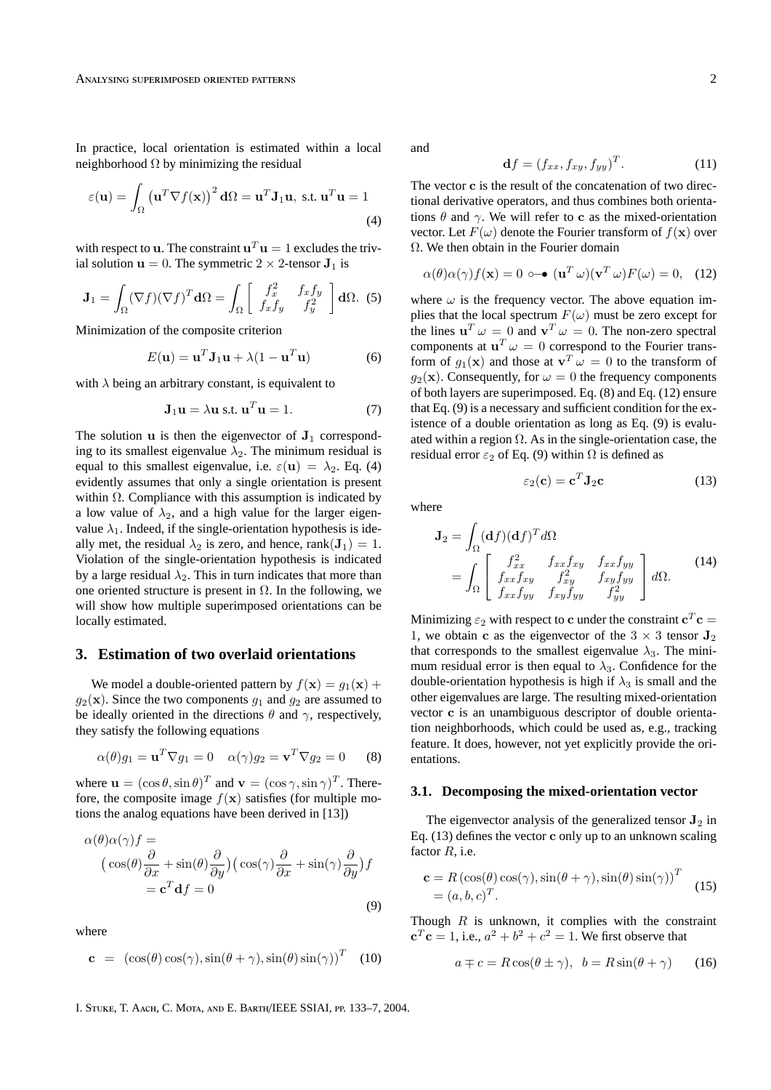In practice, local orientation is estimated within a local neighborhood  $\Omega$  by minimizing the residual

$$
\varepsilon(\mathbf{u}) = \int_{\Omega} (\mathbf{u}^T \nabla f(\mathbf{x}))^2 \, d\Omega = \mathbf{u}^T \mathbf{J}_1 \mathbf{u}, \text{ s.t. } \mathbf{u}^T \mathbf{u} = 1
$$
\n(4)

with respect to **u**. The constraint  $\mathbf{u}^T \mathbf{u} = 1$  excludes the trivial solution  $\mathbf{u} = 0$ . The symmetric  $2 \times 2$ -tensor  $\mathbf{J}_1$  is

$$
\mathbf{J}_1 = \int_{\Omega} (\nabla f)(\nabla f)^T \mathbf{d}\Omega = \int_{\Omega} \begin{bmatrix} f_x^2 & f_x f_y \\ f_x f_y & f_y^2 \end{bmatrix} \mathbf{d}\Omega. \tag{5}
$$

Minimization of the composite criterion

$$
E(\mathbf{u}) = \mathbf{u}^T \mathbf{J}_1 \mathbf{u} + \lambda (1 - \mathbf{u}^T \mathbf{u})
$$
 (6)

with  $\lambda$  being an arbitrary constant, is equivalent to

$$
\mathbf{J}_1 \mathbf{u} = \lambda \mathbf{u} \text{ s.t. } \mathbf{u}^T \mathbf{u} = 1. \tag{7}
$$

The solution u is then the eigenvector of  $J_1$  corresponding to its smallest eigenvalue  $\lambda_2$ . The minimum residual is equal to this smallest eigenvalue, i.e.  $\varepsilon(\mathbf{u}) = \lambda_2$ . Eq. (4) evidently assumes that only a single orientation is present within  $\Omega$ . Compliance with this assumption is indicated by a low value of  $\lambda_2$ , and a high value for the larger eigenvalue  $\lambda_1$ . Indeed, if the single-orientation hypothesis is ideally met, the residual  $\lambda_2$  is zero, and hence, rank( $J_1$ ) = 1. Violation of the single-orientation hypothesis is indicated by a large residual  $\lambda_2$ . This in turn indicates that more than one oriented structure is present in  $\Omega$ . In the following, we will show how multiple superimposed orientations can be locally estimated.

#### **3. Estimation of two overlaid orientations**

We model a double-oriented pattern by  $f(\mathbf{x}) = g_1(\mathbf{x}) +$  $g_2(\mathbf{x})$ . Since the two components  $g_1$  and  $g_2$  are assumed to be ideally oriented in the directions  $\theta$  and  $\gamma$ , respectively, they satisfy the following equations

$$
\alpha(\theta)g_1 = \mathbf{u}^T \nabla g_1 = 0 \quad \alpha(\gamma)g_2 = \mathbf{v}^T \nabla g_2 = 0 \quad (8)
$$

where  $\mathbf{u} = (\cos \theta, \sin \theta)^T$  and  $\mathbf{v} = (\cos \gamma, \sin \gamma)^T$ . Therefore, the composite image  $f(\mathbf{x})$  satisfies (for multiple motions the analog equations have been derived in [13])

$$
\alpha(\theta)\alpha(\gamma)f =
$$
  
\n
$$
(\cos(\theta)\frac{\partial}{\partial x} + \sin(\theta)\frac{\partial}{\partial y})(\cos(\gamma)\frac{\partial}{\partial x} + \sin(\gamma)\frac{\partial}{\partial y})f
$$
  
\n
$$
= \mathbf{c}^{T}\mathbf{d}f = 0
$$
\n(9)

where

$$
\mathbf{c} = (\cos(\theta)\cos(\gamma), \sin(\theta + \gamma), \sin(\theta)\sin(\gamma))^T \quad (10)
$$

and

$$
\mathbf{d}f = (f_{xx}, f_{xy}, f_{yy})^T. \tag{11}
$$

The vector c is the result of the concatenation of two directional derivative operators, and thus combines both orientations  $\theta$  and  $\gamma$ . We will refer to c as the mixed-orientation vector. Let  $F(\omega)$  denote the Fourier transform of  $f(\mathbf{x})$  over Ω. We then obtain in the Fourier domain

$$
\alpha(\theta)\alpha(\gamma)f(\mathbf{x}) = 0 \circ \mathbf{\bullet} (\mathbf{u}^T \omega)(\mathbf{v}^T \omega)F(\omega) = 0, \quad (12)
$$

where  $\omega$  is the frequency vector. The above equation implies that the local spectrum  $F(\omega)$  must be zero except for the lines  $\mathbf{u}^T \omega = 0$  and  $\mathbf{v}^T \omega = 0$ . The non-zero spectral components at  $\mathbf{u}^T \omega = 0$  correspond to the Fourier transform of  $g_1(\mathbf{x})$  and those at  $\mathbf{v}^T \omega = 0$  to the transform of  $q_2(\mathbf{x})$ . Consequently, for  $\omega = 0$  the frequency components of both layers are superimposed. Eq. (8) and Eq. (12) ensure that Eq. (9) is a necessary and sufficient condition for the existence of a double orientation as long as Eq. (9) is evaluated within a region  $\Omega$ . As in the single-orientation case, the residual error  $\varepsilon_2$  of Eq. (9) within  $\Omega$  is defined as

$$
\varepsilon_2(\mathbf{c}) = \mathbf{c}^T \mathbf{J}_2 \mathbf{c} \tag{13}
$$

where

$$
\mathbf{J}_2 = \int_{\Omega} (\mathbf{d}f)(\mathbf{d}f)^T d\Omega
$$
  
= 
$$
\int_{\Omega} \begin{bmatrix} f_{xx}^2 & f_{xx}f_{xy} & f_{xx}f_{yy} \\ f_{xx}f_{xy} & f_{xy}^2 & f_{xy}f_{yy} \\ f_{xx}f_{yy} & f_{xy}f_{yy} & f_{yy}^2 \end{bmatrix} d\Omega.
$$
 (14)

Minimizing  $\varepsilon_2$  with respect to c under the constraint  $\mathbf{c}^T\mathbf{c} =$ 1, we obtain c as the eigenvector of the  $3 \times 3$  tensor  $J_2$ that corresponds to the smallest eigenvalue  $\lambda_3$ . The minimum residual error is then equal to  $\lambda_3$ . Confidence for the double-orientation hypothesis is high if  $\lambda_3$  is small and the other eigenvalues are large. The resulting mixed-orientation vector c is an unambiguous descriptor of double orientation neighborhoods, which could be used as, e.g., tracking feature. It does, however, not yet explicitly provide the orientations.

#### **3.1. Decomposing the mixed-orientation vector**

The eigenvector analysis of the generalized tensor  $J_2$  in Eq. (13) defines the vector c only up to an unknown scaling factor  $R$ , i.e.

$$
\mathbf{c} = R (\cos(\theta) \cos(\gamma), \sin(\theta + \gamma), \sin(\theta) \sin(\gamma))^T
$$
  
=  $(a, b, c)^T$ . (15)

Though  $R$  is unknown, it complies with the constraint  ${\bf c}^T{\bf c} = 1$ , i.e.,  $a^2 + b^2 + c^2 = 1$ . We first observe that

$$
a \mp c = R\cos(\theta \pm \gamma), \ \ b = R\sin(\theta + \gamma) \tag{16}
$$

I. STUKE, T. AACH, C. MOTA, AND E. BARTH/IEEE SSIAI, PP. 133-7, 2004.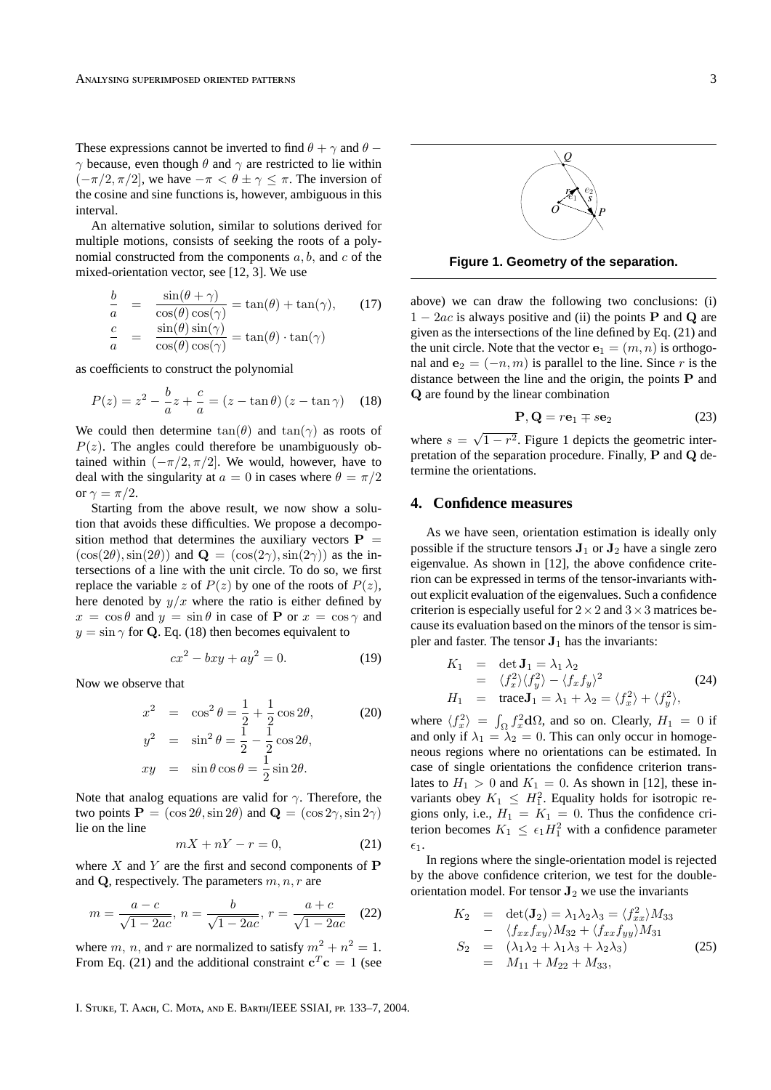These expressions cannot be inverted to find  $\theta + \gamma$  and  $\theta$  −  $\gamma$  because, even though  $\theta$  and  $\gamma$  are restricted to lie within  $(-\pi/2, \pi/2]$ , we have  $-\pi < \theta \pm \gamma \leq \pi$ . The inversion of the cosine and sine functions is, however, ambiguous in this interval.

An alternative solution, similar to solutions derived for multiple motions, consists of seeking the roots of a polynomial constructed from the components  $a, b$ , and  $c$  of the mixed-orientation vector, see [12, 3]. We use

$$
\frac{b}{a} = \frac{\sin(\theta + \gamma)}{\cos(\theta)\cos(\gamma)} = \tan(\theta) + \tan(\gamma), \qquad (17)
$$

$$
\frac{c}{a} = \frac{\sin(\theta)\sin(\gamma)}{\cos(\theta)\cos(\gamma)} = \tan(\theta) \cdot \tan(\gamma)
$$

as coefficients to construct the polynomial

$$
P(z) = z^{2} - \frac{b}{a}z + \frac{c}{a} = (z - \tan \theta) (z - \tan \gamma)
$$
 (18)

We could then determine  $tan(\theta)$  and  $tan(\gamma)$  as roots of  $P(z)$ . The angles could therefore be unambiguously obtained within  $(-\pi/2, \pi/2]$ . We would, however, have to deal with the singularity at  $a = 0$  in cases where  $\theta = \pi/2$ or  $\gamma = \pi/2$ .

Starting from the above result, we now show a solution that avoids these difficulties. We propose a decomposition method that determines the auxiliary vectors  $P =$  $(\cos(2\theta), \sin(2\theta))$  and  $\mathbf{Q} = (\cos(2\gamma), \sin(2\gamma))$  as the intersections of a line with the unit circle. To do so, we first replace the variable z of  $P(z)$  by one of the roots of  $P(z)$ , here denoted by  $y/x$  where the ratio is either defined by  $x = \cos \theta$  and  $y = \sin \theta$  in case of P or  $x = \cos \gamma$  and  $y = \sin \gamma$  for Q. Eq. (18) then becomes equivalent to

$$
cx^2 - bxy + ay^2 = 0.
$$
 (19)

Now we observe that

$$
x^{2} = \cos^{2} \theta = \frac{1}{2} + \frac{1}{2} \cos 2\theta,
$$
  
\n
$$
y^{2} = \sin^{2} \theta = \frac{1}{2} - \frac{1}{2} \cos 2\theta,
$$
  
\n
$$
xy = \sin \theta \cos \theta = \frac{1}{2} \sin 2\theta.
$$
\n(20)

Note that analog equations are valid for  $\gamma$ . Therefore, the two points  $P = (\cos 2\theta, \sin 2\theta)$  and  $Q = (\cos 2\gamma, \sin 2\gamma)$ lie on the line

$$
mX + nY - r = 0,\t(21)
$$

where  $X$  and  $Y$  are the first and second components of  $P$ and  $Q$ , respectively. The parameters  $m, n, r$  are

$$
m = \frac{a - c}{\sqrt{1 - 2ac}}, n = \frac{b}{\sqrt{1 - 2ac}}, r = \frac{a + c}{\sqrt{1 - 2ac}} \quad (22)
$$

where m, n, and r are normalized to satisfy  $m^2 + n^2 = 1$ . From Eq. (21) and the additional constraint  $\mathbf{c}^T \mathbf{c} = 1$  (see

I. STUKE, T. AACH, C. MOTA, AND E. BARTH/IEEE SSIAI, PP. 133-7, 2004.



**Figure 1. Geometry of the separation.**

above) we can draw the following two conclusions: (i)  $1 - 2ac$  is always positive and (ii) the points **P** and **Q** are given as the intersections of the line defined by Eq. (21) and the unit circle. Note that the vector  $e_1 = (m, n)$  is orthogonal and  $e_2 = (-n, m)$  is parallel to the line. Since r is the distance between the line and the origin, the points P and Q are found by the linear combination

$$
\mathbf{P}, \mathbf{Q} = r\mathbf{e}_1 \mp s\mathbf{e}_2 \tag{23}
$$

where  $s =$ √  $1 - r<sup>2</sup>$ . Figure 1 depicts the geometric interpretation of the separation procedure. Finally, P and Q determine the orientations.

#### **4. Confidence measures**

As we have seen, orientation estimation is ideally only possible if the structure tensors  $J_1$  or  $J_2$  have a single zero eigenvalue. As shown in [12], the above confidence criterion can be expressed in terms of the tensor-invariants without explicit evaluation of the eigenvalues. Such a confidence criterion is especially useful for  $2 \times 2$  and  $3 \times 3$  matrices because its evaluation based on the minors of the tensor is simpler and faster. The tensor  $J_1$  has the invariants:

$$
K_1 = \det \mathbf{J}_1 = \lambda_1 \lambda_2
$$
  
=  $\langle f_x^2 \rangle \langle f_y^2 \rangle - \langle f_x f_y \rangle^2$   

$$
H_1 = \text{trace} \mathbf{J}_1 = \lambda_1 + \lambda_2 = \langle f_x^2 \rangle + \langle f_y^2 \rangle,
$$
 (24)

where  $\langle f_x^2 \rangle = \int_{\Omega} f_x^2 d\Omega$ , and so on. Clearly,  $H_1 = 0$  if and only if  $\lambda_1 = \lambda_2 = 0$ . This can only occur in homogeneous regions where no orientations can be estimated. In case of single orientations the confidence criterion translates to  $H_1 > 0$  and  $K_1 = 0$ . As shown in [12], these invariants obey  $K_1 \leq H_1^2$ . Equality holds for isotropic regions only, i.e.,  $H_1 = K_1 = 0$ . Thus the confidence criterion becomes  $K_1 \leq \epsilon_1 H_1^2$  with a confidence parameter  $\epsilon_1$ .

In regions where the single-orientation model is rejected by the above confidence criterion, we test for the doubleorientation model. For tensor  $J_2$  we use the invariants

$$
K_2 = \det(\mathbf{J}_2) = \lambda_1 \lambda_2 \lambda_3 = \langle f_{xx}^2 \rangle M_{33} - \langle f_{xx} f_{xy} \rangle M_{32} + \langle f_{xx} f_{yy} \rangle M_{31} S_2 = (\lambda_1 \lambda_2 + \lambda_1 \lambda_3 + \lambda_2 \lambda_3) = M_{11} + M_{22} + M_{33},
$$
 (25)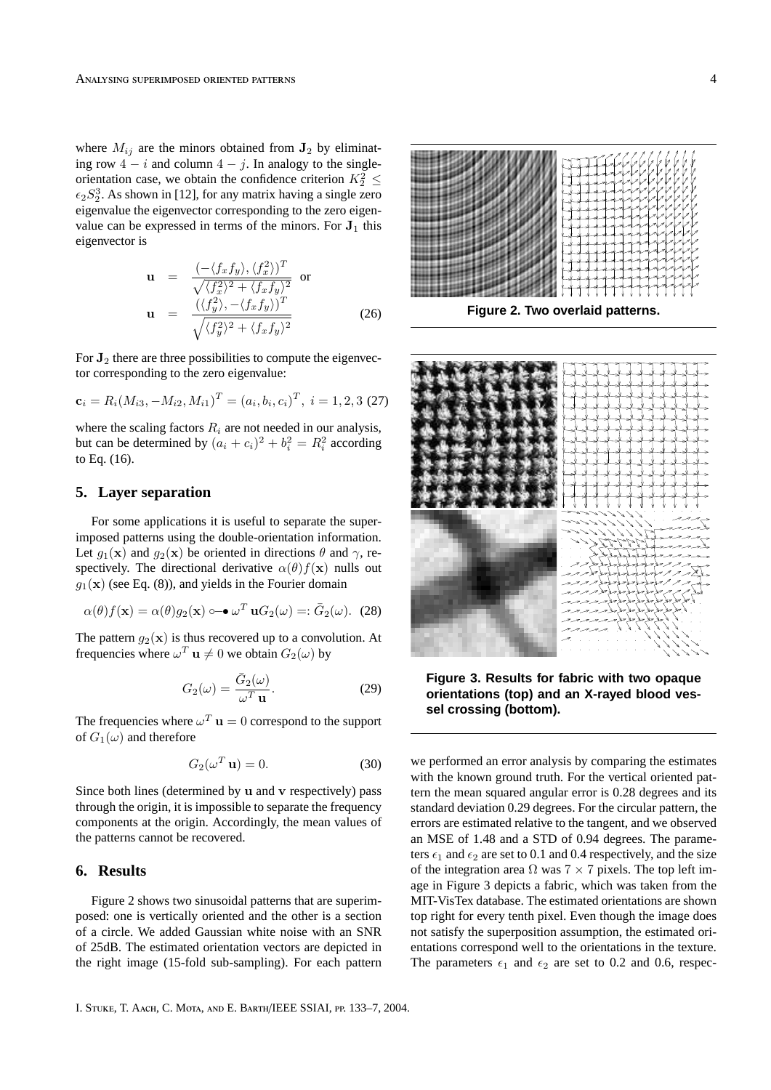where  $M_{ij}$  are the minors obtained from  $J_2$  by eliminating row  $4 - i$  and column  $4 - j$ . In analogy to the singleorientation case, we obtain the confidence criterion  $K_2^2 \leq$  $\epsilon_2 S_2^3$ . As shown in [12], for any matrix having a single zero eigenvalue the eigenvector corresponding to the zero eigenvalue can be expressed in terms of the minors. For  $J_1$  this eigenvector is

$$
\mathbf{u} = \frac{(-\langle f_x f_y \rangle, \langle f_x^2 \rangle)^T}{\sqrt{\langle f_x^2 \rangle^2 + \langle f_x f_y \rangle^2}}
$$
 or  
\n
$$
\mathbf{u} = \frac{(\langle f_y^2 \rangle, -\langle f_x f_y \rangle)^T}{\sqrt{\langle f_y^2 \rangle^2 + \langle f_x f_y \rangle^2}}
$$
(26)

For  $J_2$  there are three possibilities to compute the eigenvector corresponding to the zero eigenvalue:

$$
\mathbf{c}_i = R_i (M_{i3}, -M_{i2}, M_{i1})^T = (a_i, b_i, c_i)^T, \ i = 1, 2, 3 \ (27)
$$

where the scaling factors  $R_i$  are not needed in our analysis, but can be determined by  $(a_i + c_i)^2 + b_i^2 = R_i^2$  according to Eq. (16).

### **5. Layer separation**

For some applications it is useful to separate the superimposed patterns using the double-orientation information. Let  $g_1(\mathbf{x})$  and  $g_2(\mathbf{x})$  be oriented in directions  $\theta$  and  $\gamma$ , respectively. The directional derivative  $\alpha(\theta) f(\mathbf{x})$  nulls out  $g_1(\mathbf{x})$  (see Eq. (8)), and yields in the Fourier domain

$$
\alpha(\theta)f(\mathbf{x}) = \alpha(\theta)g_2(\mathbf{x}) \circ \mathbf{\bullet} \omega^T \mathbf{u} G_2(\omega) =: \bar{G}_2(\omega). \tag{28}
$$

The pattern  $g_2(\mathbf{x})$  is thus recovered up to a convolution. At frequencies where  $\omega^T \mathbf{u} \neq 0$  we obtain  $G_2(\omega)$  by

$$
G_2(\omega) = \frac{\bar{G}_2(\omega)}{\omega^T \mathbf{u}}.
$$
 (29)

The frequencies where  $\omega^T$  **u** = 0 correspond to the support of  $G_1(\omega)$  and therefore

$$
G_2(\omega^T \mathbf{u}) = 0. \tag{30}
$$

Since both lines (determined by u and v respectively) pass through the origin, it is impossible to separate the frequency components at the origin. Accordingly, the mean values of the patterns cannot be recovered.

## **6. Results**

Figure 2 shows two sinusoidal patterns that are superimposed: one is vertically oriented and the other is a section of a circle. We added Gaussian white noise with an SNR of 25dB. The estimated orientation vectors are depicted in the right image (15-fold sub-sampling). For each pattern



**Figure 2. Two overlaid patterns.**



**Figure 3. Results for fabric with two opaque orientations (top) and an X-rayed blood vessel crossing (bottom).**

we performed an error analysis by comparing the estimates with the known ground truth. For the vertical oriented pattern the mean squared angular error is 0.28 degrees and its standard deviation 0.29 degrees. For the circular pattern, the errors are estimated relative to the tangent, and we observed an MSE of 1.48 and a STD of 0.94 degrees. The parameters  $\epsilon_1$  and  $\epsilon_2$  are set to 0.1 and 0.4 respectively, and the size of the integration area  $\Omega$  was  $7 \times 7$  pixels. The top left image in Figure 3 depicts a fabric, which was taken from the MIT-VisTex database. The estimated orientations are shown top right for every tenth pixel. Even though the image does not satisfy the superposition assumption, the estimated orientations correspond well to the orientations in the texture. The parameters  $\epsilon_1$  and  $\epsilon_2$  are set to 0.2 and 0.6, respec-